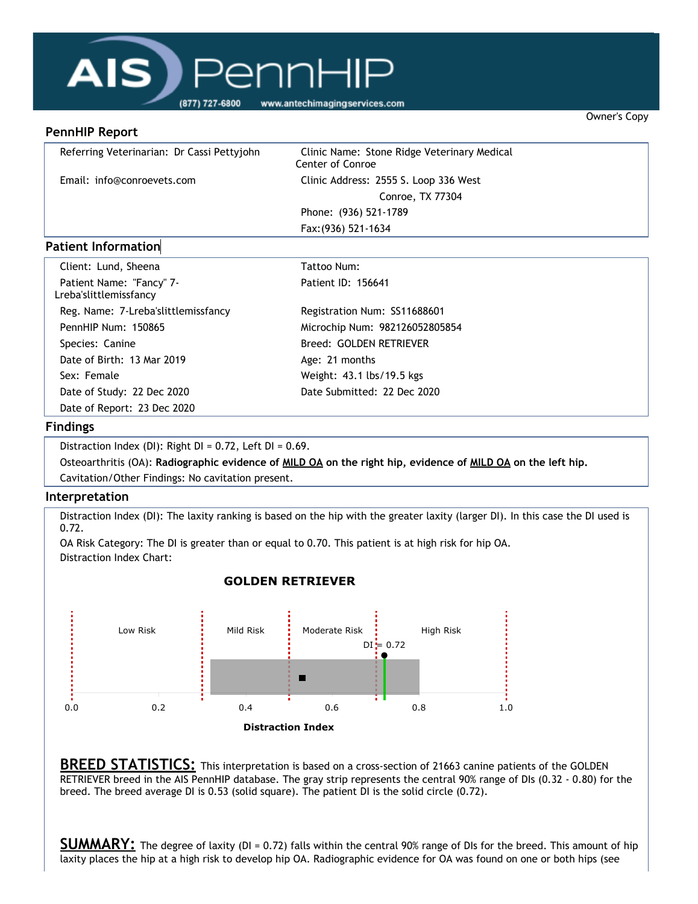# AIS) Pennl (877) 727-6800

www.antechimagingservices.com

#### **PennHIP Report**

| Referring Veterinarian: Dr Cassi Pettyjohn | Clinic Name: Stone Ridge Veterinary Medical<br><b>Center of Conroe</b> |  |
|--------------------------------------------|------------------------------------------------------------------------|--|
| Email: info@conroevets.com                 | Clinic Address: 2555 S. Loop 336 West                                  |  |
|                                            | Conroe, TX 77304                                                       |  |
|                                            | Phone: (936) 521-1789                                                  |  |
|                                            | Fax: (936) 521-1634                                                    |  |
| . .                                        |                                                                        |  |

Owner's Copy

### **Patient Information**

| Client: Lund, Sheena                               | Tattoo Num:                    |
|----------------------------------------------------|--------------------------------|
| Patient Name: "Fancy" 7-<br>Lreba'slittlemissfancy | Patient ID: 156641             |
| Reg. Name: 7-Lreba'slittlemissfancy                | Registration Num: SS11688601   |
| PennHIP Num: 150865                                | Microchip Num: 982126052805854 |
| Species: Canine                                    | Breed: GOLDEN RETRIEVER        |
| Date of Birth: 13 Mar 2019                         | Age: 21 months                 |
| Sex: Female                                        | Weight: 43.1 lbs/19.5 kgs      |
| Date of Study: 22 Dec 2020                         | Date Submitted: 22 Dec 2020    |
| Date of Report: 23 Dec 2020                        |                                |

### **Findings**

Distraction Index (DI): Right  $DI = 0.72$ , Left  $DI = 0.69$ .

Osteoarthritis (OA): Radiographic evidence of MILD OA on the right hip, evidence of MILD OA on the left hip. Cavitation/Other Findings: No cavitation present.

### **Interpretation**

Distraction Index (DI): The laxity ranking is based on the hip with the greater laxity (larger DI). In this case the DI used is 0.72.

OA Risk Category: The DI is greater than or equal to 0.70. This patient is at high risk for hip OA. Distraction Index Chart:

## **GOLDEN RETRIEVER**



**BREED STATISTICS:** This interpretation is based on a cross-section of 21663 canine patients of the GOLDEN RETRIEVER breed in the AIS PennHIP database. The gray strip represents the central 90% range of DIs (0.32 - 0.80) for the breed. The breed average DI is 0.53 (solid square). The patient DI is the solid circle (0.72).

**SUMMARY:** The degree of laxity (DI = 0.72) falls within the central 90% range of DIs for the breed. This amount of hip laxity places the hip at a high risk to develop hip OA. Radiographic evidence for OA was found on one or both hips (see